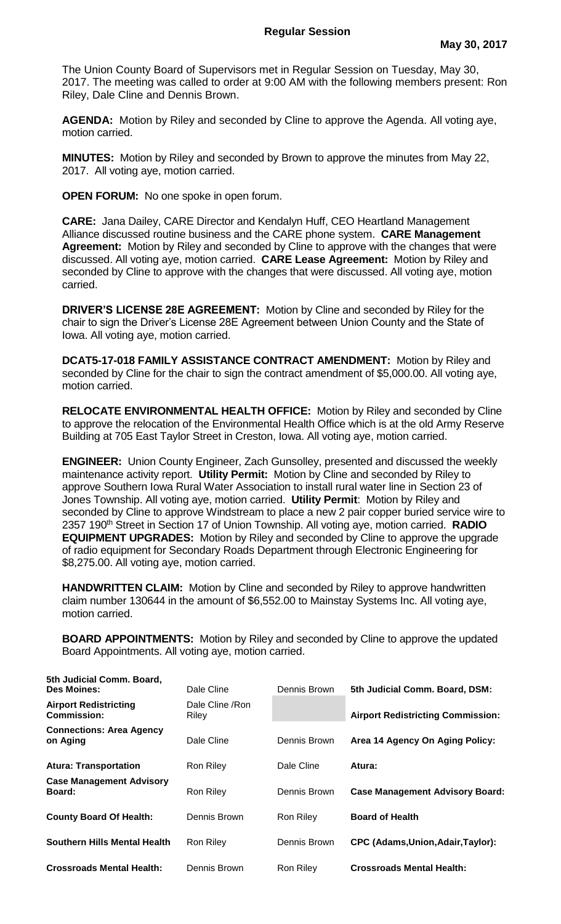The Union County Board of Supervisors met in Regular Session on Tuesday, May 30, 2017. The meeting was called to order at 9:00 AM with the following members present: Ron Riley, Dale Cline and Dennis Brown.

**AGENDA:** Motion by Riley and seconded by Cline to approve the Agenda. All voting aye, motion carried.

**MINUTES:** Motion by Riley and seconded by Brown to approve the minutes from May 22, 2017. All voting aye, motion carried.

**OPEN FORUM:** No one spoke in open forum.

**CARE:** Jana Dailey, CARE Director and Kendalyn Huff, CEO Heartland Management Alliance discussed routine business and the CARE phone system. **CARE Management Agreement:** Motion by Riley and seconded by Cline to approve with the changes that were discussed. All voting aye, motion carried. **CARE Lease Agreement:** Motion by Riley and seconded by Cline to approve with the changes that were discussed. All voting aye, motion carried.

**DRIVER'S LICENSE 28E AGREEMENT:** Motion by Cline and seconded by Riley for the chair to sign the Driver's License 28E Agreement between Union County and the State of Iowa. All voting aye, motion carried.

**DCAT5-17-018 FAMILY ASSISTANCE CONTRACT AMENDMENT:** Motion by Riley and seconded by Cline for the chair to sign the contract amendment of \$5,000.00. All voting aye, motion carried.

**RELOCATE ENVIRONMENTAL HEALTH OFFICE:** Motion by Riley and seconded by Cline to approve the relocation of the Environmental Health Office which is at the old Army Reserve Building at 705 East Taylor Street in Creston, Iowa. All voting aye, motion carried.

**ENGINEER:** Union County Engineer, Zach Gunsolley, presented and discussed the weekly maintenance activity report. **Utility Permit:** Motion by Cline and seconded by Riley to approve Southern Iowa Rural Water Association to install rural water line in Section 23 of Jones Township. All voting aye, motion carried. **Utility Permit**: Motion by Riley and seconded by Cline to approve Windstream to place a new 2 pair copper buried service wire to 2357 190<sup>th</sup> Street in Section 17 of Union Township. All voting aye, motion carried. **RADIO EQUIPMENT UPGRADES:** Motion by Riley and seconded by Cline to approve the upgrade of radio equipment for Secondary Roads Department through Electronic Engineering for \$8,275.00. All voting aye, motion carried.

**HANDWRITTEN CLAIM:** Motion by Cline and seconded by Riley to approve handwritten claim number 130644 in the amount of \$6,552.00 to Mainstay Systems Inc. All voting aye, motion carried.

**BOARD APPOINTMENTS:** Motion by Riley and seconded by Cline to approve the updated Board Appointments. All voting aye, motion carried.

| 5th Judicial Comm. Board,<br><b>Des Moines:</b> | Dale Cline                | Dennis Brown | 5th Judicial Comm. Board, DSM:            |
|-------------------------------------------------|---------------------------|--------------|-------------------------------------------|
| <b>Airport Redistricting</b><br>Commission:     | Dale Cline / Ron<br>Riley |              | <b>Airport Redistricting Commission:</b>  |
| <b>Connections: Area Agency</b><br>on Aging     | Dale Cline                | Dennis Brown | Area 14 Agency On Aging Policy:           |
| <b>Atura: Transportation</b>                    | Ron Riley                 | Dale Cline   | Atura:                                    |
| <b>Case Management Advisory</b><br>Board:       | Ron Riley                 | Dennis Brown | <b>Case Management Advisory Board:</b>    |
| <b>County Board Of Health:</b>                  | Dennis Brown              | Ron Riley    | <b>Board of Health</b>                    |
| Southern Hills Mental Health                    | Ron Riley                 | Dennis Brown | <b>CPC (Adams, Union, Adair, Taylor):</b> |
| <b>Crossroads Mental Health:</b>                | Dennis Brown              | Ron Riley    | <b>Crossroads Mental Health:</b>          |